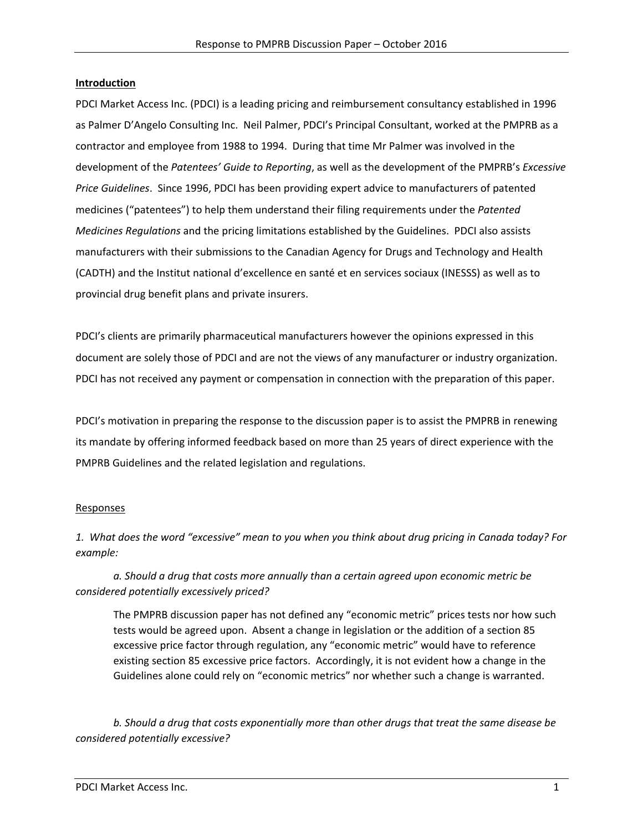#### **Introduction**

PDCI Market Access Inc. (PDCI) is a leading pricing and reimbursement consultancy established in 1996 as Palmer D'Angelo Consulting Inc. Neil Palmer, PDCI's Principal Consultant, worked at the PMPRB as a contractor and employee from 1988 to 1994. During that time Mr Palmer was involved in the development of the *Patentees' Guide to Reporting*, as well as the development of the PMPRB's *Excessive Price Guidelines*. Since 1996, PDCI has been providing expert advice to manufacturers of patented medicines ("patentees") to help them understand their filing requirements under the *Patented Medicines Regulations* and the pricing limitations established by the Guidelines. PDCI also assists manufacturers with their submissions to the Canadian Agency for Drugs and Technology and Health (CADTH) and the Institut national d'excellence en santé et en services sociaux (INESSS) as well as to provincial drug benefit plans and private insurers.

PDCI's clients are primarily pharmaceutical manufacturers however the opinions expressed in this document are solely those of PDCI and are not the views of any manufacturer or industry organization. PDCI has not received any payment or compensation in connection with the preparation of this paper.

PDCI's motivation in preparing the response to the discussion paper is to assist the PMPRB in renewing its mandate by offering informed feedback based on more than 25 years of direct experience with the PMPRB Guidelines and the related legislation and regulations.

#### Responses

*1. What does the word "excessive" mean to you when you think about drug pricing in Canada today? For example:* 

*a. Should a drug that costs more annually than a certain agreed upon economic metric be considered potentially excessively priced?* 

The PMPRB discussion paper has not defined any "economic metric" prices tests nor how such tests would be agreed upon. Absent a change in legislation or the addition of a section 85 excessive price factor through regulation, any "economic metric" would have to reference existing section 85 excessive price factors. Accordingly, it is not evident how a change in the Guidelines alone could rely on "economic metrics" nor whether such a change is warranted.

*b. Should a drug that costs exponentially more than other drugs that treat the same disease be considered potentially excessive?*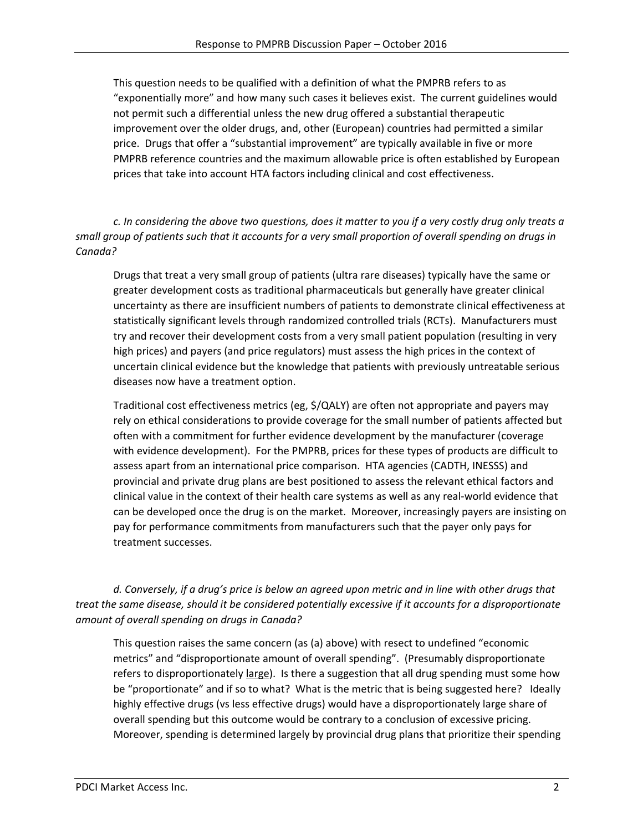This question needs to be qualified with a definition of what the PMPRB refers to as "exponentially more" and how many such cases it believes exist. The current guidelines would not permit such a differential unless the new drug offered a substantial therapeutic improvement over the older drugs, and, other (European) countries had permitted a similar price. Drugs that offer a "substantial improvement" are typically available in five or more PMPRB reference countries and the maximum allowable price is often established by European prices that take into account HTA factors including clinical and cost effectiveness.

*c. In considering the above two questions, does it matter to you if a very costly drug only treats a small group of patients such that it accounts for a very small proportion of overall spending on drugs in Canada?* 

Drugs that treat a very small group of patients (ultra rare diseases) typically have the same or greater development costs as traditional pharmaceuticals but generally have greater clinical uncertainty as there are insufficient numbers of patients to demonstrate clinical effectiveness at statistically significant levels through randomized controlled trials (RCTs). Manufacturers must try and recover their development costs from a very small patient population (resulting in very high prices) and payers (and price regulators) must assess the high prices in the context of uncertain clinical evidence but the knowledge that patients with previously untreatable serious diseases now have a treatment option.

Traditional cost effectiveness metrics (eg, \$/QALY) are often not appropriate and payers may rely on ethical considerations to provide coverage for the small number of patients affected but often with a commitment for further evidence development by the manufacturer (coverage with evidence development). For the PMPRB, prices for these types of products are difficult to assess apart from an international price comparison. HTA agencies (CADTH, INESSS) and provincial and private drug plans are best positioned to assess the relevant ethical factors and clinical value in the context of their health care systems as well as any real‐world evidence that can be developed once the drug is on the market. Moreover, increasingly payers are insisting on pay for performance commitments from manufacturers such that the payer only pays for treatment successes.

*d. Conversely, if a drug's price is below an agreed upon metric and in line with other drugs that treat the same disease, should it be considered potentially excessive if it accounts for a disproportionate amount of overall spending on drugs in Canada?* 

This question raises the same concern (as (a) above) with resect to undefined "economic metrics" and "disproportionate amount of overall spending". (Presumably disproportionate refers to disproportionately large). Is there a suggestion that all drug spending must some how be "proportionate" and if so to what? What is the metric that is being suggested here? Ideally highly effective drugs (vs less effective drugs) would have a disproportionately large share of overall spending but this outcome would be contrary to a conclusion of excessive pricing. Moreover, spending is determined largely by provincial drug plans that prioritize their spending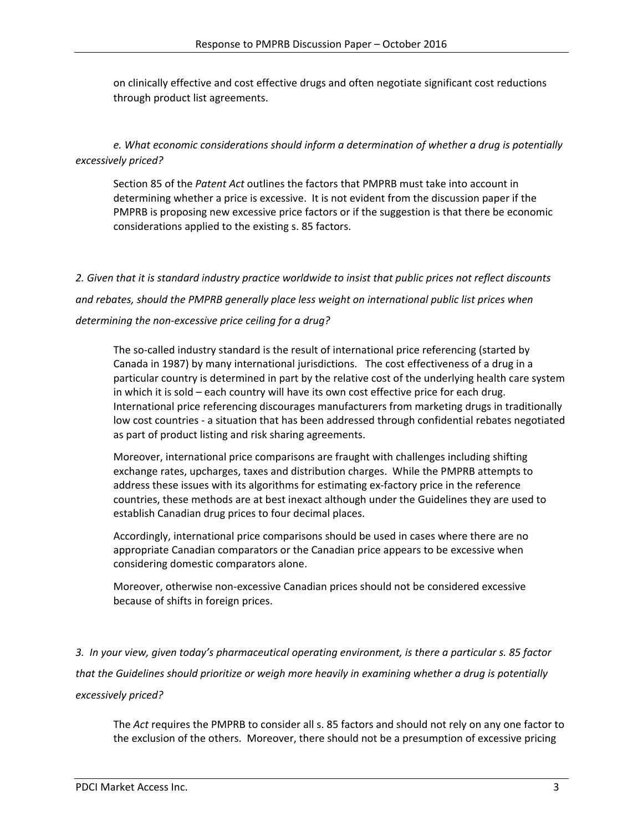on clinically effective and cost effective drugs and often negotiate significant cost reductions through product list agreements.

*e. What economic considerations should inform a determination of whether a drug is potentially excessively priced?* 

Section 85 of the *Patent Act* outlines the factors that PMPRB must take into account in determining whether a price is excessive. It is not evident from the discussion paper if the PMPRB is proposing new excessive price factors or if the suggestion is that there be economic considerations applied to the existing s. 85 factors.

*2. Given that it is standard industry practice worldwide to insist that public prices not reflect discounts and rebates, should the PMPRB generally place less weight on international public list prices when determining the non‐excessive price ceiling for a drug?* 

The so-called industry standard is the result of international price referencing (started by Canada in 1987) by many international jurisdictions. The cost effectiveness of a drug in a particular country is determined in part by the relative cost of the underlying health care system in which it is sold – each country will have its own cost effective price for each drug. International price referencing discourages manufacturers from marketing drugs in traditionally low cost countries ‐ a situation that has been addressed through confidential rebates negotiated as part of product listing and risk sharing agreements.

Moreover, international price comparisons are fraught with challenges including shifting exchange rates, upcharges, taxes and distribution charges. While the PMPRB attempts to address these issues with its algorithms for estimating ex-factory price in the reference countries, these methods are at best inexact although under the Guidelines they are used to establish Canadian drug prices to four decimal places.

Accordingly, international price comparisons should be used in cases where there are no appropriate Canadian comparators or the Canadian price appears to be excessive when considering domestic comparators alone.

Moreover, otherwise non‐excessive Canadian prices should not be considered excessive because of shifts in foreign prices.

*3. In your view, given today's pharmaceutical operating environment, is there a particular s. 85 factor that the Guidelines should prioritize or weigh more heavily in examining whether a drug is potentially excessively priced?* 

The *Act* requires the PMPRB to consider all s. 85 factors and should not rely on any one factor to the exclusion of the others. Moreover, there should not be a presumption of excessive pricing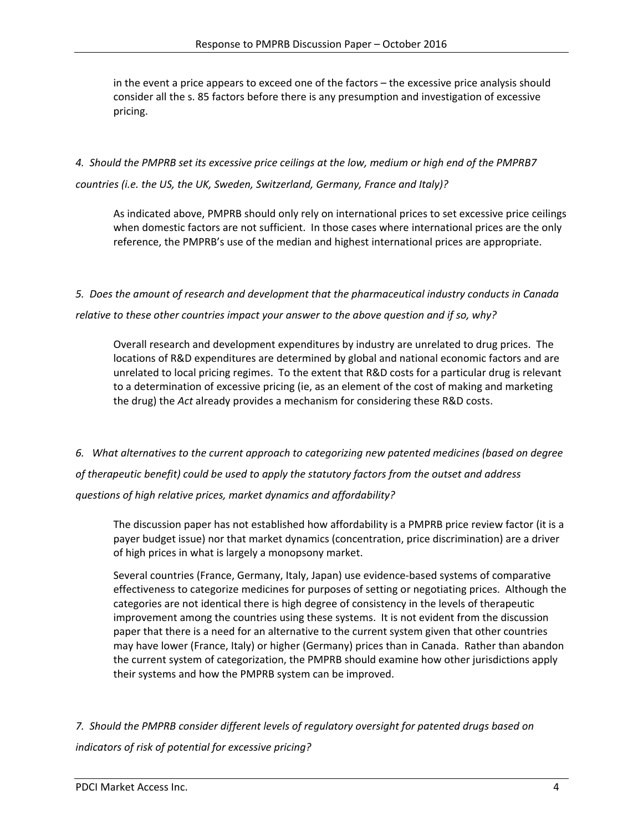in the event a price appears to exceed one of the factors – the excessive price analysis should consider all the s. 85 factors before there is any presumption and investigation of excessive pricing.

## *4. Should the PMPRB set its excessive price ceilings at the low, medium or high end of the PMPRB7 countries (i.e. the US, the UK, Sweden, Switzerland, Germany, France and Italy)?*

As indicated above, PMPRB should only rely on international prices to set excessive price ceilings when domestic factors are not sufficient. In those cases where international prices are the only reference, the PMPRB's use of the median and highest international prices are appropriate.

## *5. Does the amount of research and development that the pharmaceutical industry conducts in Canada relative to these other countries impact your answer to the above question and if so, why?*

Overall research and development expenditures by industry are unrelated to drug prices. The locations of R&D expenditures are determined by global and national economic factors and are unrelated to local pricing regimes. To the extent that R&D costs for a particular drug is relevant to a determination of excessive pricing (ie, as an element of the cost of making and marketing the drug) the *Act* already provides a mechanism for considering these R&D costs.

*6. What alternatives to the current approach to categorizing new patented medicines (based on degree of therapeutic benefit) could be used to apply the statutory factors from the outset and address questions of high relative prices, market dynamics and affordability?* 

The discussion paper has not established how affordability is a PMPRB price review factor (it is a payer budget issue) nor that market dynamics (concentration, price discrimination) are a driver of high prices in what is largely a monopsony market.

Several countries (France, Germany, Italy, Japan) use evidence‐based systems of comparative effectiveness to categorize medicines for purposes of setting or negotiating prices. Although the categories are not identical there is high degree of consistency in the levels of therapeutic improvement among the countries using these systems. It is not evident from the discussion paper that there is a need for an alternative to the current system given that other countries may have lower (France, Italy) or higher (Germany) prices than in Canada. Rather than abandon the current system of categorization, the PMPRB should examine how other jurisdictions apply their systems and how the PMPRB system can be improved.

*7. Should the PMPRB consider different levels of regulatory oversight for patented drugs based on indicators of risk of potential for excessive pricing?*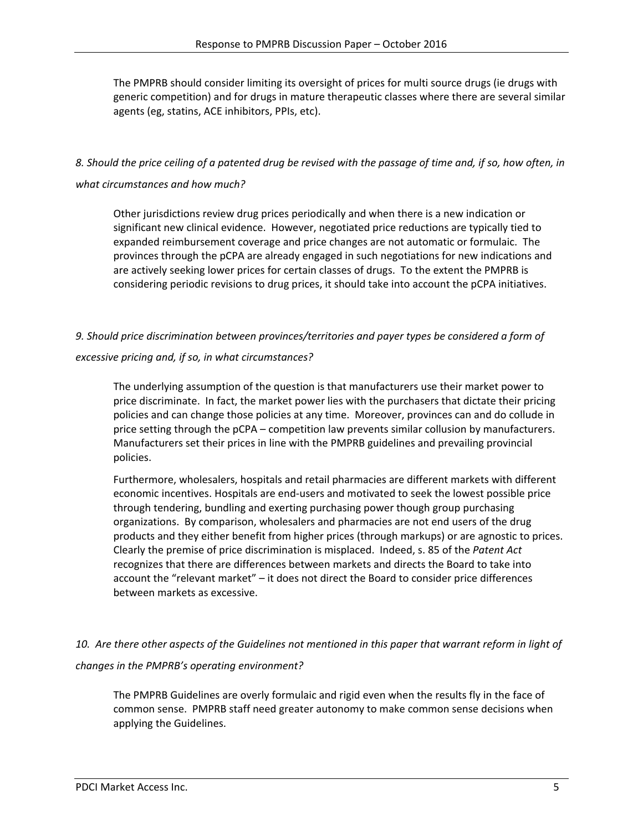The PMPRB should consider limiting its oversight of prices for multi source drugs (ie drugs with generic competition) and for drugs in mature therapeutic classes where there are several similar agents (eg, statins, ACE inhibitors, PPIs, etc).

## *8. Should the price ceiling of a patented drug be revised with the passage of time and, if so, how often, in what circumstances and how much?*

Other jurisdictions review drug prices periodically and when there is a new indication or significant new clinical evidence. However, negotiated price reductions are typically tied to expanded reimbursement coverage and price changes are not automatic or formulaic. The provinces through the pCPA are already engaged in such negotiations for new indications and are actively seeking lower prices for certain classes of drugs. To the extent the PMPRB is considering periodic revisions to drug prices, it should take into account the pCPA initiatives.

### *9. Should price discrimination between provinces/territories and payer types be considered a form of*

### *excessive pricing and, if so, in what circumstances?*

The underlying assumption of the question is that manufacturers use their market power to price discriminate. In fact, the market power lies with the purchasers that dictate their pricing policies and can change those policies at any time. Moreover, provinces can and do collude in price setting through the pCPA – competition law prevents similar collusion by manufacturers. Manufacturers set their prices in line with the PMPRB guidelines and prevailing provincial policies.

Furthermore, wholesalers, hospitals and retail pharmacies are different markets with different economic incentives. Hospitals are end-users and motivated to seek the lowest possible price through tendering, bundling and exerting purchasing power though group purchasing organizations. By comparison, wholesalers and pharmacies are not end users of the drug products and they either benefit from higher prices (through markups) or are agnostic to prices. Clearly the premise of price discrimination is misplaced. Indeed, s. 85 of the *Patent Act* recognizes that there are differences between markets and directs the Board to take into account the "relevant market" – it does not direct the Board to consider price differences between markets as excessive.

## *10. Are there other aspects of the Guidelines not mentioned in this paper that warrant reform in light of changes in the PMPRB's operating environment?*

The PMPRB Guidelines are overly formulaic and rigid even when the results fly in the face of common sense. PMPRB staff need greater autonomy to make common sense decisions when applying the Guidelines.